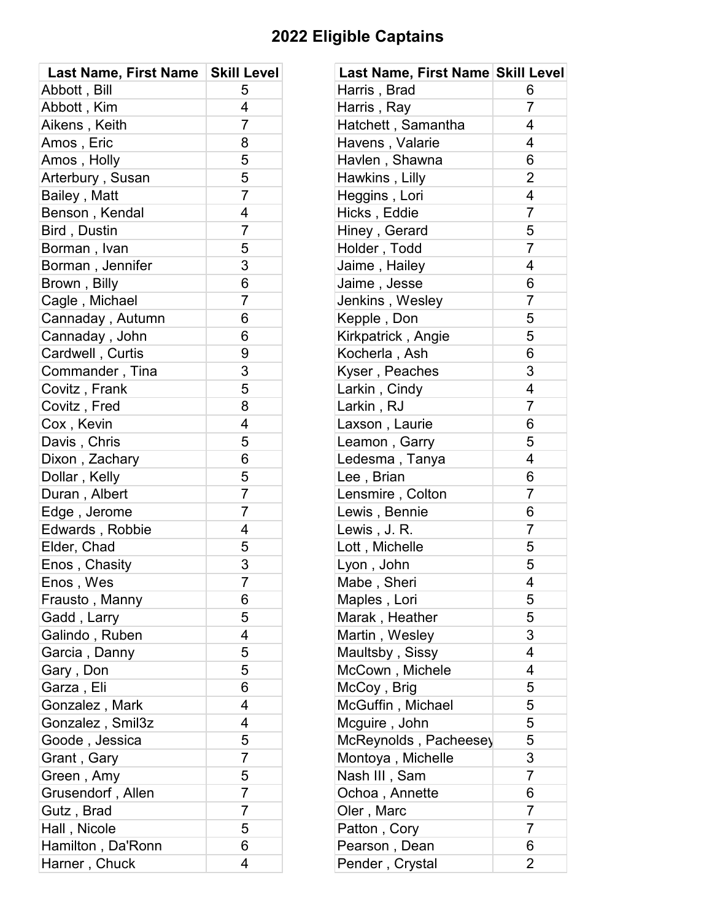## **2022 Eligible Captains**

| <b>Last Name, First Name</b> | <b>Skill Level</b> | Last Name, First Name Skill Level |                         |
|------------------------------|--------------------|-----------------------------------|-------------------------|
| Abbott, Bill                 | 5                  | Harris, Brad                      | 6                       |
| Abbott, Kim                  | 4                  | Harris, Ray                       | $\overline{7}$          |
| Aikens, Keith                | $\overline{7}$     | Hatchett, Samantha                | 4                       |
| Amos, Eric                   | 8                  | Havens, Valarie                   | 4                       |
| Amos, Holly                  | 5                  | Havlen, Shawna                    | 6                       |
| Arterbury, Susan             | 5                  | Hawkins, Lilly                    | $\overline{2}$          |
| Bailey, Matt                 | $\overline{7}$     | Heggins, Lori                     | 4                       |
| Benson, Kendal               | 4                  | Hicks, Eddie                      | $\overline{7}$          |
| Bird, Dustin                 | $\overline{7}$     | Hiney, Gerard                     | 5                       |
| Borman, Ivan                 | 5                  | Holder, Todd                      | $\overline{7}$          |
| Borman, Jennifer             | 3                  | Jaime, Hailey                     | 4                       |
| Brown, Billy                 | 6                  | Jaime, Jesse                      | 6                       |
| Cagle, Michael               | $\overline{7}$     | Jenkins, Wesley                   | 7                       |
| Cannaday, Autumn             | 6                  | Kepple, Don                       | 5                       |
| Cannaday, John               | 6                  | Kirkpatrick, Angie                | 5                       |
| Cardwell, Curtis             | 9                  | Kocherla, Ash                     | 6                       |
| Commander, Tina              | 3                  | Kyser, Peaches                    | 3                       |
| Covitz, Frank                | 5                  | Larkin, Cindy                     | 4                       |
| Covitz, Fred                 | 8                  | Larkin, RJ                        | $\overline{7}$          |
| Cox, Kevin                   | 4                  | Laxson, Laurie                    | 6                       |
| Davis, Chris                 | 5                  | Leamon, Garry                     | 5                       |
| Dixon, Zachary               | 6                  | Ledesma, Tanya                    | $\overline{\mathbf{4}}$ |
| Dollar, Kelly                | 5                  | Lee, Brian                        | 6                       |
| Duran, Albert                | $\overline{7}$     | Lensmire, Colton                  | $\overline{7}$          |
| Edge, Jerome                 | $\overline{7}$     | Lewis, Bennie                     | 6                       |
| Edwards, Robbie              | 4                  | Lewis, J. R.                      | $\overline{7}$          |
| Elder, Chad                  | 5                  | Lott, Michelle                    | 5                       |
| Enos, Chasity                | 3                  | Lyon, John                        | 5                       |
| Enos, Wes                    | $\overline{7}$     | Mabe, Sheri                       | 4                       |
| Frausto, Manny               | 6                  | Maples, Lori                      | 5                       |
| Gadd, Larry                  | 5                  | Marak, Heather                    | 5                       |
| Galindo, Ruben               | 4                  | Martin, Wesley                    | 3                       |
| Garcia, Danny                | 5                  | Maultsby, Sissy                   | 4                       |
| Gary, Don                    | 5                  | McCown, Michele                   | 4                       |
| Garza, Eli                   | 6                  | McCoy, Brig                       | 5                       |
| Gonzalez, Mark               | 4                  | McGuffin, Michael                 | 5                       |
| Gonzalez, Smil3z             | 4                  | Mcguire, John                     | 5                       |
| Goode, Jessica               | 5                  | McReynolds, Pacheesey             | 5                       |
| Grant, Gary                  | $\overline{7}$     | Montoya, Michelle                 | 3                       |
| Green, Amy                   | 5                  | Nash III, Sam                     | 7                       |
| Grusendorf, Allen            | $\overline{7}$     | Ochoa, Annette                    | 6                       |
| Gutz, Brad                   | $\overline{7}$     | Oler, Marc                        | 7                       |
| Hall, Nicole                 | 5                  | Patton, Cory                      | $\overline{7}$          |
| Hamilton, Da'Ronn            | 6                  | Pearson, Dean                     | 6                       |
| Harner, Chuck                | 4                  | Pender, Crystal                   | $\overline{2}$          |

| Last Name, First Name Skill Level |                |
|-----------------------------------|----------------|
| Harris, Brad                      | 6              |
| Harris, Ray                       | $\overline{7}$ |
| Hatchett, Samantha                | $\overline{4}$ |
| Havens, Valarie                   | 4              |
| Havlen, Shawna                    | 6              |
| Hawkins, Lilly                    | $\overline{2}$ |
| Heggins, Lori                     | 4              |
| Hicks, Eddie                      | $\overline{7}$ |
| Hiney, Gerard                     | 5              |
| Holder, Todd                      | $\overline{7}$ |
| Jaime, Hailey                     | 4              |
| Jaime, Jesse                      | 6              |
| Jenkins, Wesley                   | $\overline{7}$ |
| Kepple, Don                       | 5              |
| Kirkpatrick, Angie                | 5              |
| Kocherla, Ash                     | 6              |
| Kyser, Peaches                    | 3              |
| Larkin, Cindy                     | 4              |
| Larkin, RJ                        | $\overline{7}$ |
| Laxson, Laurie                    | 6              |
| Leamon, Garry                     | 5              |
| Ledesma, Tanya                    | 4              |
| Lee, Brian                        | 6              |
| Lensmire, Colton                  | $\overline{7}$ |
| Lewis, Bennie                     | 6              |
| Lewis, J.R.                       | $\overline{7}$ |
| Lott, Michelle                    | 5              |
| Lyon, John                        | 5              |
| Mabe, Sheri                       | 4              |
| Maples, Lori                      | 5              |
| Marak, Heather                    | 5              |
| Martin , Wesley                   | 3              |
| Maultsby, Sissy                   | 4              |
| McCown, Michele                   | 4              |
| McCoy, Brig                       | 5              |
| McGuffin, Michael                 | 5              |
| Mcguire, John                     | 5              |
| McReynolds, Pacheesey             | 5              |
| Montoya, Michelle                 | 3              |
| Nash III , Sam                    | $\overline{7}$ |
| Ochoa, Annette                    | 6              |
| Oler, Marc                        | $\overline{7}$ |
| Patton, Cory                      | $\overline{7}$ |
| Pearson, Dean                     | 6              |
| Pender, Crystal                   | 2              |
|                                   |                |